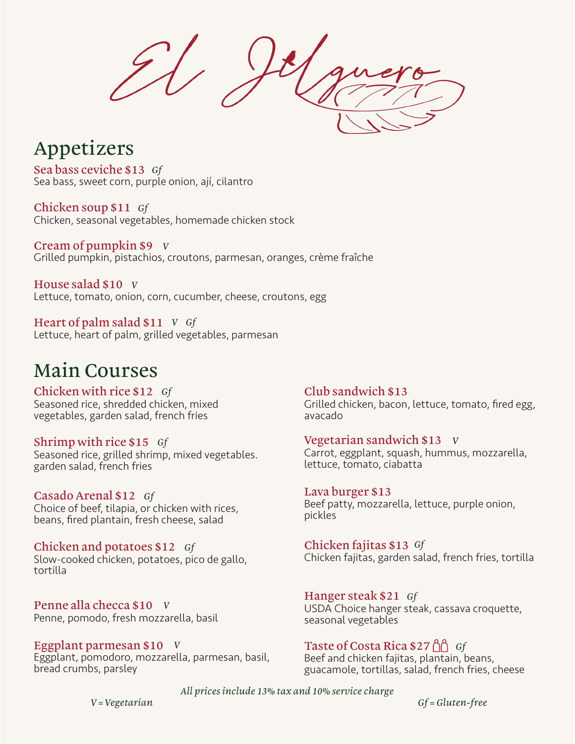### Appetizers

Sea bass, sweet corn, purple onion, ají, cilantro Sea bass ceviche \$13 *Gf*

Chicken, seasonal vegetables, homemade chicken stock Chicken soup \$11 *Gf*

Grilled pumpkin, pistachios, croutons, parmesan, oranges, crème fraîche Cream of pumpkin \$9 *V*

Lettuce, tomato, onion, corn, cucumber, cheese, croutons, egg House salad \$10 *V*

Lettuce, heart of palm, grilled vegetables, parmesan Heart of palm salad \$11 *V Gf*

## Main Courses

Seasoned rice, shredded chicken, mixed vegetables, garden salad, french fries Chicken with rice \$12 *Gf*

Seasoned rice, grilled shrimp, mixed vegetables. garden salad, french fries Shrimp with rice \$15 *Gf*

Choice of beef, tilapia, or chicken with rices, beans, fired plantain, fresh cheese, salad Casado Arenal \$12 *Gf*

Slow-cooked chicken, potatoes, pico de gallo, tortilla Chicken and potatoes \$12 *Gf*

Penne, pomodo, fresh mozzarella, basil Penne alla checca \$10 *V*

Eggplant, pomodoro, mozzarella, parmesan, basil, bread crumbs, parsley Eggplant parmesan \$10 *V*

Grilled chicken, bacon, lettuce, tomato, fired egg, avacado Club sandwich \$13

Carrot, eggplant, squash, hummus, mozzarella, lettuce, tomato, ciabatta Vegetarian sandwich \$13 *V*

Beef patty, mozzarella, lettuce, purple onion, pickles Lava burger \$13

Chicken fajitas, garden salad, french fries, tortilla Chicken fajitas \$13 *Gf*

USDA Choice hanger steak, cassava croquette, seasonal vegetables Hanger steak \$21 *Gf*

Beef and chicken fajitas, plantain, beans, guacamole, tortillas, salad, french fries, cheese Taste of Costa Rica \$27 *Gf*

*All prices include 13% tax and 10% service charge*

*V = Vegetarian Gf = Gluten-free*